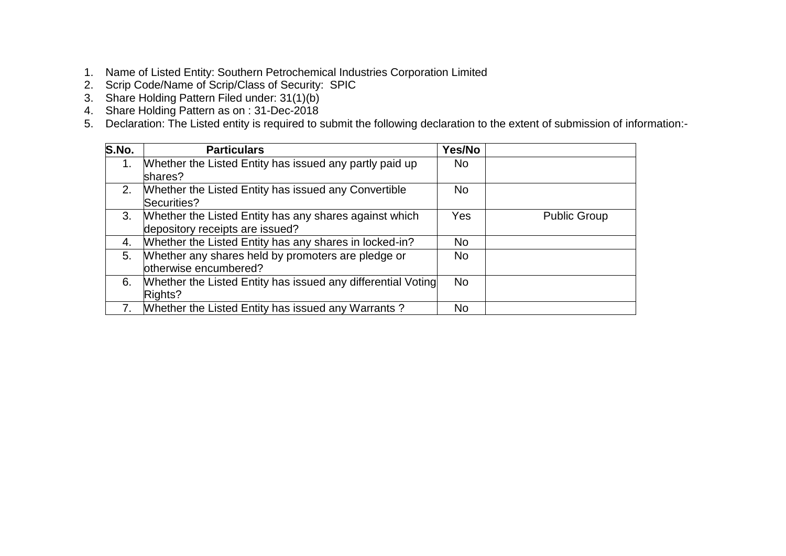- 1. Name of Listed Entity: Southern Petrochemical Industries Corporation Limited
- 2. Scrip Code/Name of Scrip/Class of Security: SPIC
- 3. Share Holding Pattern Filed under: 31(1)(b)
- 4. Share Holding Pattern as on : 31-Dec-2018
- 5. Declaration: The Listed entity is required to submit the following declaration to the extent of submission of information:-

| S.No. | <b>Particulars</b>                                           | Yes/No    |                     |
|-------|--------------------------------------------------------------|-----------|---------------------|
| 1.    | Whether the Listed Entity has issued any partly paid up      | <b>No</b> |                     |
|       | shares?                                                      |           |                     |
| 2.    | Whether the Listed Entity has issued any Convertible         | <b>No</b> |                     |
|       | Securities?                                                  |           |                     |
| 3.    | Whether the Listed Entity has any shares against which       | Yes       | <b>Public Group</b> |
|       | depository receipts are issued?                              |           |                     |
| 4.    | Whether the Listed Entity has any shares in locked-in?       | <b>No</b> |                     |
| 5.    | Whether any shares held by promoters are pledge or           | No.       |                     |
|       | otherwise encumbered?                                        |           |                     |
| 6.    | Whether the Listed Entity has issued any differential Voting | <b>No</b> |                     |
|       | Rights?                                                      |           |                     |
|       | Whether the Listed Entity has issued any Warrants?           | <b>No</b> |                     |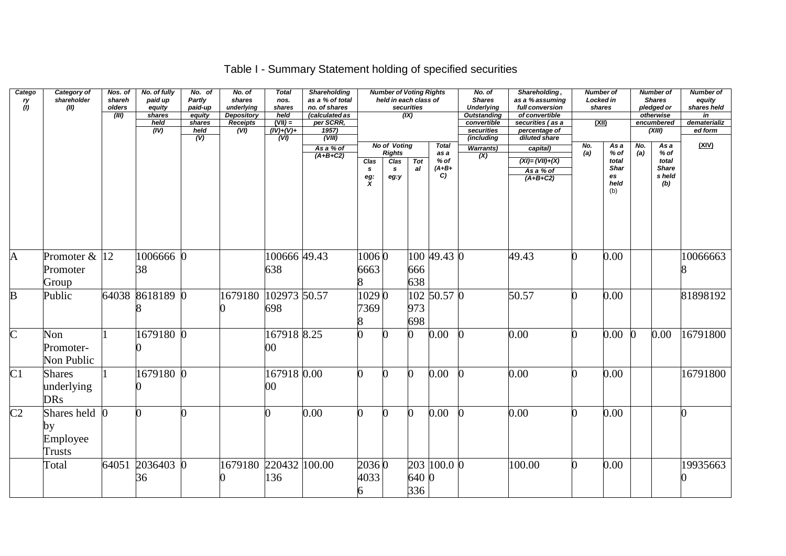# Table I - Summary Statement holding of specified securities

| Catego<br>ry<br>(1)    | Category of<br>shareholder<br>(II)             | Nos. of<br>shareh<br>olders | No. of fully<br>paid up<br>equity | No. of<br>Partly<br>paid-up                  | No. of<br>shares<br>underlying        | <b>Total</b><br>nos.<br>shares                             | Shareholding<br>as a % of total<br>no. of shares                   |                             | <b>Number of Voting Rights</b><br>held in each class of   | securities       |                                                 | No. of<br><b>Shares</b><br><b>Underlying</b>                  | Shareholding,<br>as a % assuming<br>full conversion                  | shares     | <b>Number of</b><br>Locked in                             |            | <b>Number of</b><br><b>Shares</b><br>pledged or        | <b>Number of</b><br>equity<br>shares held |
|------------------------|------------------------------------------------|-----------------------------|-----------------------------------|----------------------------------------------|---------------------------------------|------------------------------------------------------------|--------------------------------------------------------------------|-----------------------------|-----------------------------------------------------------|------------------|-------------------------------------------------|---------------------------------------------------------------|----------------------------------------------------------------------|------------|-----------------------------------------------------------|------------|--------------------------------------------------------|-------------------------------------------|
|                        |                                                | (III)                       | shares<br>held<br>(IV)            | equity<br>shares<br>held<br>$\overline{(V)}$ | <b>Depository</b><br>Receipts<br>(VI) | held<br>$(VII) =$<br>$(IV)+(V)+$<br>$\overline{(V\prime)}$ | (calculated as<br>per SCRR,<br>1957)<br>$\overline{\text{(VIII)}}$ |                             |                                                           | (X)              |                                                 | <b>Outstanding</b><br>convertible<br>securities<br>(including | of convertible<br>securities (as a<br>percentage of<br>diluted share | (XII)      |                                                           |            | otherwise<br>encumbered<br>(XIII)                      | in<br>dematerializ<br>ed form             |
|                        |                                                |                             |                                   |                                              |                                       |                                                            | As a % of<br>$(A+B+C2)$                                            | Clas<br>s<br>$\frac{eg}{X}$ | <b>No of Voting</b><br><b>Rights</b><br>Clas<br>s<br>eg:y | <b>Tot</b><br>al | <b>Total</b><br>as a<br>$%$ of<br>$(A+B+$<br>C) | <b>Warrants)</b><br>(X)                                       | capital)<br>$(XI) = (VII) + (X)$<br>As a % of<br>$(A+B+C2)$          | No.<br>(a) | As a<br>% of<br>total<br><b>Shar</b><br>es<br>held<br>(b) | No.<br>(a) | As a<br>% of<br>total<br><b>Share</b><br>s held<br>(b) | (XIV)                                     |
| $\overline{A}$         | Promoter & 12<br>Promoter<br>Group             |                             | 1006666<br>38                     |                                              |                                       | 100666 49.43<br>638                                        |                                                                    | 10060<br>6663               |                                                           | 666<br>638       | 100 49.43 0                                     |                                                               | 49.43                                                                |            | 0.00                                                      |            |                                                        | 10066663                                  |
| $\mathbf{B}$           | Public                                         |                             | 64038 8618189 0                   |                                              | 1679180                               | 102973 50.57<br>698                                        |                                                                    | 10290<br>7369<br>8          |                                                           | 973<br>698       | $102\,50.57\,0$                                 |                                                               | 50.57                                                                |            | 0.00                                                      |            |                                                        | 81898192                                  |
| $\overline{\text{C}}$  | Non<br>Promoter-<br>Non Public                 |                             | 1679180 0                         |                                              |                                       | 167918 8.25<br>$00\,$                                      |                                                                    |                             |                                                           |                  | 0.00                                            |                                                               | 0.00                                                                 |            | $0.00\,$                                                  |            | 0.00                                                   | 16791800                                  |
| C1                     | <b>Shares</b><br>underlying<br><b>DRs</b>      |                             | 1679180 0                         |                                              |                                       | 167918 0.00<br>$00\,$                                      |                                                                    | 0                           |                                                           | 0                | 0.00                                            |                                                               | 0.00                                                                 |            | 0.00                                                      |            |                                                        | 16791800                                  |
| $\overline{\text{C2}}$ | Shares held<br>by<br>Employee<br><b>Trusts</b> |                             |                                   |                                              |                                       |                                                            | 0.00                                                               | 0                           |                                                           | O                | 0.00                                            |                                                               | 0.00                                                                 |            | 0.00                                                      |            |                                                        |                                           |
|                        | Total                                          |                             | 64051 2036403 0<br>36             |                                              | 1679180                               | 220432 100.00<br>136                                       |                                                                    | 20360<br>4033<br>6          |                                                           | 640 0<br>336     | 203 100.0 0                                     |                                                               | 100.00                                                               |            | 0.00                                                      |            |                                                        | 19935663                                  |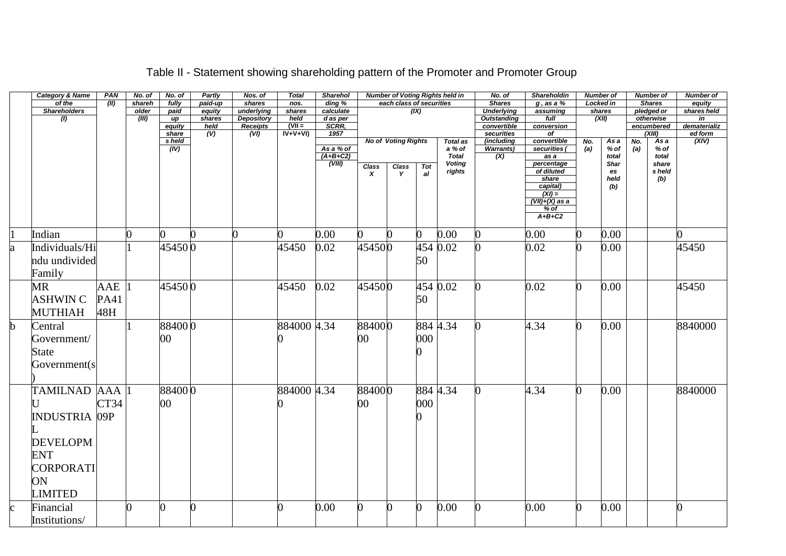|             | <b>Category &amp; Name</b> | PAN        | No. of | No. of          | Partly       | Nos. of                       | <b>Total</b>          | <b>Sharehol</b>     |                  |                            |                | <b>Number of Voting Rights held in</b> | No. of                    | <b>Shareholdin</b>                    |     | <b>Number of</b> |     | <b>Number of</b>     | <b>Number of</b>        |
|-------------|----------------------------|------------|--------|-----------------|--------------|-------------------------------|-----------------------|---------------------|------------------|----------------------------|----------------|----------------------------------------|---------------------------|---------------------------------------|-----|------------------|-----|----------------------|-------------------------|
|             | of the                     | (II)       | shareh | fully           | paid-up      | shares                        | nos.                  | $\overline{ding}$ % |                  | each class of securities   |                |                                        | <b>Shares</b>             | $g$ , as a $%$                        |     | <b>Locked in</b> |     | <b>Shares</b>        | equity                  |
|             | <b>Shareholders</b>        |            | older  | paid            | equity       | underlying                    | shares                | calculate           |                  |                            | (X)            |                                        | <b>Underlying</b>         | assuming                              |     | shares           |     | pledged or           | shares held             |
|             | $\overline{(\mathbf{l})}$  |            | (III)  | иp              | shares       | <b>Depository</b>             | held                  | d as per<br>SCRR,   |                  |                            |                |                                        | <b>Outstanding</b>        | full                                  |     | (XII)            |     | otherwise            | in                      |
|             |                            |            |        | equity<br>share | held<br>(V)  | Receipts<br>$\overline{(VI)}$ | $(VII =$<br>$IV+V+VI$ | 1957                |                  |                            |                |                                        | convertible<br>securities | conversion<br>$\overline{of}$         |     |                  |     | encumbered<br>(XIII) | dematerializ<br>ed form |
|             |                            |            |        | s held          |              |                               |                       |                     |                  | <b>No of Voting Rights</b> |                | <b>Total as</b>                        | (including                | convertible                           | No. | As a             | No. | As a                 | (XIV)                   |
|             |                            |            |        | (IV)            |              |                               |                       | As a % of           |                  |                            |                | a % of                                 | <b>Warrants)</b>          | securities (                          | (a) | % of             | (a) | % of                 |                         |
|             |                            |            |        |                 |              |                               |                       | $(A+B+C2)$          |                  |                            |                | <b>Total</b>                           | (X)                       | $\overline{as} a$                     |     | total            |     | total                |                         |
|             |                            |            |        |                 |              |                               |                       | (VIII)              | Class            | Class                      | <b>Tot</b>     | <b>Voting</b>                          |                           | percentage                            |     | Shar             |     | share                |                         |
|             |                            |            |        |                 |              |                               |                       |                     | $\boldsymbol{x}$ | $\mathbf{v}$               | al             | rights                                 |                           | of diluted<br>share                   |     | es<br>held       |     | s held<br>(b)        |                         |
|             |                            |            |        |                 |              |                               |                       |                     |                  |                            |                |                                        |                           | capital)                              |     | (b)              |     |                      |                         |
|             |                            |            |        |                 |              |                               |                       |                     |                  |                            |                |                                        |                           | $\frac{(XI)}{(VII)+(X) \text{ as a}}$ |     |                  |     |                      |                         |
|             |                            |            |        |                 |              |                               |                       |                     |                  |                            |                |                                        |                           |                                       |     |                  |     |                      |                         |
|             |                            |            |        |                 |              |                               |                       |                     |                  |                            |                |                                        |                           | $%$ of<br>$A+B+C2$                    |     |                  |     |                      |                         |
|             |                            |            |        |                 |              |                               |                       |                     |                  |                            |                |                                        |                           |                                       |     |                  |     |                      |                         |
|             | Indian                     |            |        | ∩               | <sup>0</sup> | ∩                             | 0                     | 0.00                | ∩                |                            | 0              | 0.00                                   |                           | 0.00                                  | ∩   | 0.00             |     |                      |                         |
| a           | Individuals/Hi             |            |        | 454500          |              |                               | 45450                 | 0.02                | 454500           |                            |                | 454 0.02                               |                           | 0.02                                  |     | 0.00             |     |                      | 45450                   |
|             | ndu undivided              |            |        |                 |              |                               |                       |                     |                  |                            | 50             |                                        |                           |                                       |     |                  |     |                      |                         |
|             | Family                     |            |        |                 |              |                               |                       |                     |                  |                            |                |                                        |                           |                                       |     |                  |     |                      |                         |
|             |                            |            |        |                 |              |                               |                       |                     |                  |                            |                |                                        |                           |                                       |     |                  |     |                      |                         |
|             | MR                         | <b>AAE</b> |        | 454500          |              |                               | 45450                 | 0.02                | 454500           |                            |                | 454 0.02                               |                           | 0.02                                  | ∩   | 0.00             |     |                      | 45450                   |
|             | <b>ASHWINC</b>             | PA41       |        |                 |              |                               |                       |                     |                  |                            | 50             |                                        |                           |                                       |     |                  |     |                      |                         |
|             | <b>MUTHIAH</b>             | 48H        |        |                 |              |                               |                       |                     |                  |                            |                |                                        |                           |                                       |     |                  |     |                      |                         |
|             |                            |            |        |                 |              |                               |                       |                     |                  |                            |                |                                        |                           |                                       |     |                  |     |                      |                         |
| $\mathbf b$ | Central                    |            |        | 884000          |              |                               | 884000 4.34           |                     | 884000           |                            |                | 884 4.34                               |                           | 4.34                                  | ∩   | 0.00             |     |                      | 8840000                 |
|             | Government/                |            |        | 00              |              |                               |                       |                     | 00               |                            | 000            |                                        |                           |                                       |     |                  |     |                      |                         |
|             | State                      |            |        |                 |              |                               |                       |                     |                  |                            |                |                                        |                           |                                       |     |                  |     |                      |                         |
|             |                            |            |        |                 |              |                               |                       |                     |                  |                            |                |                                        |                           |                                       |     |                  |     |                      |                         |
|             | Government(s               |            |        |                 |              |                               |                       |                     |                  |                            |                |                                        |                           |                                       |     |                  |     |                      |                         |
|             |                            |            |        |                 |              |                               |                       |                     |                  |                            |                |                                        |                           |                                       |     |                  |     |                      |                         |
|             | TAMILNAD AAA 1             |            |        | 884000          |              |                               | 884000 4.34           |                     | 884000           |                            |                | 884 4.34                               |                           | 4.34                                  | O.  | 0.00             |     |                      | 8840000                 |
|             |                            | CT34       |        | $00\,$          |              |                               |                       |                     | $00\,$           |                            | 000            |                                        |                           |                                       |     |                  |     |                      |                         |
|             | <b>INDUSTRIA 09P</b>       |            |        |                 |              |                               |                       |                     |                  |                            | ∩              |                                        |                           |                                       |     |                  |     |                      |                         |
|             |                            |            |        |                 |              |                               |                       |                     |                  |                            |                |                                        |                           |                                       |     |                  |     |                      |                         |
|             | <b>DEVELOPM</b>            |            |        |                 |              |                               |                       |                     |                  |                            |                |                                        |                           |                                       |     |                  |     |                      |                         |
|             | <b>ENT</b>                 |            |        |                 |              |                               |                       |                     |                  |                            |                |                                        |                           |                                       |     |                  |     |                      |                         |
|             |                            |            |        |                 |              |                               |                       |                     |                  |                            |                |                                        |                           |                                       |     |                  |     |                      |                         |
|             | CORPORATI                  |            |        |                 |              |                               |                       |                     |                  |                            |                |                                        |                           |                                       |     |                  |     |                      |                         |
|             | ON                         |            |        |                 |              |                               |                       |                     |                  |                            |                |                                        |                           |                                       |     |                  |     |                      |                         |
|             | <b>LIMITED</b>             |            |        |                 |              |                               |                       |                     |                  |                            |                |                                        |                           |                                       |     |                  |     |                      |                         |
|             | Financial                  |            | ∩      |                 | 0            |                               | 0                     | 0.00                | ∩                | <sup>0</sup>               | $\overline{0}$ | 0.00                                   |                           | 0.00                                  | 0   | 0.00             |     |                      | 0                       |
|             | Institutions/              |            |        |                 |              |                               |                       |                     |                  |                            |                |                                        |                           |                                       |     |                  |     |                      |                         |

# Table II - Statement showing shareholding pattern of the Promoter and Promoter Group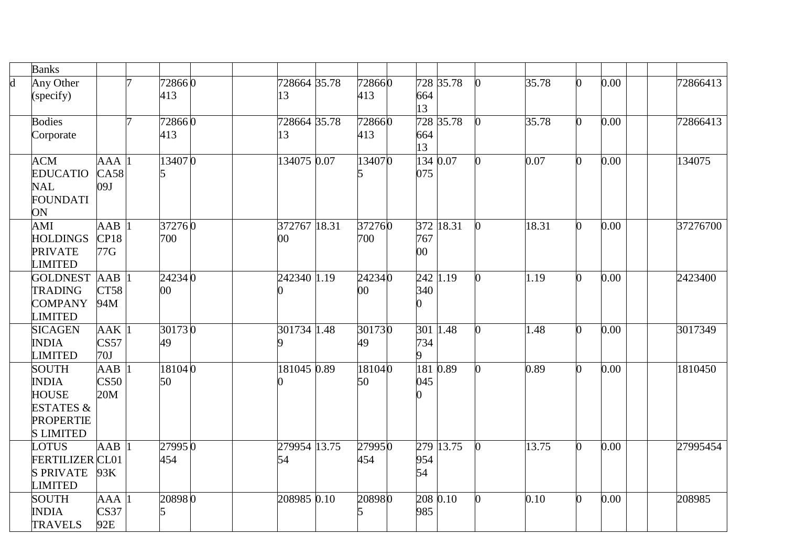|                         | <b>Banks</b>                          |                  |        |              |        |                        |           |       |    |      |          |
|-------------------------|---------------------------------------|------------------|--------|--------------|--------|------------------------|-----------|-------|----|------|----------|
| $\overline{\mathbf{d}}$ | Any Other                             |                  | 728660 | 728664 35.78 | 728660 |                        | 728 35.78 | 35.78 |    | 0.00 | 72866413 |
|                         | (specify)                             |                  | 413    | 13           | 413    | 664                    |           |       |    |      |          |
|                         |                                       |                  |        |              |        | 13                     |           |       |    |      |          |
|                         | <b>Bodies</b>                         |                  | 728660 | 728664 35.78 | 728660 |                        | 728 35.78 | 35.78 |    | 0.00 | 72866413 |
|                         | Corporate                             |                  | 413    | 13           | 413    | 664                    |           |       |    |      |          |
|                         |                                       |                  |        |              |        | 13                     |           |       |    |      |          |
|                         | <b>ACM</b>                            | <b>AAA</b>       | 134070 | 134075 0.07  | 134070 | 134 0.07               |           | 0.07  |    | 0.00 | 134075   |
|                         | <b>EDUCATIO</b>                       | CA58             |        |              |        | 075                    |           |       |    |      |          |
|                         | <b>NAL</b>                            | 09J              |        |              |        |                        |           |       |    |      |          |
|                         | <b>FOUNDATI</b>                       |                  |        |              |        |                        |           |       |    |      |          |
|                         | ON                                    |                  |        |              |        |                        |           |       |    |      |          |
|                         | AMI                                   | AAB              | 372760 | 372767 18.31 | 372760 |                        | 372 18.31 | 18.31 |    | 0.00 | 37276700 |
|                         | <b>HOLDINGS</b>                       | CP18             | 700    | $00\,$       | 700    | 767                    |           |       |    |      |          |
|                         | <b>PRIVATE</b>                        | 77G              |        |              |        | $00\,$                 |           |       |    |      |          |
|                         | <b>LIMITED</b>                        |                  | 242340 | 242340 1.19  | 242340 | 242 1.19               |           |       |    |      |          |
|                         | <b>GOLDNEST AAB</b><br><b>TRADING</b> | CT58             | $00\,$ |              | 00     | 340                    |           | 1.19  |    | 0.00 | 2423400  |
|                         | <b>COMPANY</b>                        | 94M              |        |              |        | O                      |           |       |    |      |          |
|                         | <b>LIMITED</b>                        |                  |        |              |        |                        |           |       |    |      |          |
|                         | <b>SICAGEN</b>                        | AAK <sup>1</sup> | 301730 | 301734 1.48  | 301730 | $301 \overline{)1.48}$ |           | 1.48  |    | 0.00 | 3017349  |
|                         | <b>INDIA</b>                          | CS57             | 49     |              | 49     | 734                    |           |       |    |      |          |
|                         | <b>LIMITED</b>                        | 70J              |        |              |        | 9                      |           |       |    |      |          |
|                         | <b>SOUTH</b>                          | $A\overline{AB}$ | 181040 | 181045 0.89  | 181040 | 181 0.89               |           | 0.89  |    | 0.00 | 1810450  |
|                         | <b>INDIA</b>                          | CS50             | 50     |              | 50     | 045                    |           |       |    |      |          |
|                         | <b>HOUSE</b>                          | 20M              |        |              |        |                        |           |       |    |      |          |
|                         | <b>ESTATES &amp;</b>                  |                  |        |              |        |                        |           |       |    |      |          |
|                         | <b>PROPERTIE</b>                      |                  |        |              |        |                        |           |       |    |      |          |
|                         | <b>S LIMITED</b>                      |                  |        |              |        |                        |           |       |    |      |          |
|                         | <b>LOTUS</b>                          | AAB              | 279950 | 279954 13.75 | 279950 |                        | 279 13.75 | 13.75 |    | 0.00 | 27995454 |
|                         | <b>FERTILIZER CL01</b>                |                  | 454    | 54           | 454    | 954                    |           |       |    |      |          |
|                         | <b>S PRIVATE</b>                      | 93K              |        |              |        | 54                     |           |       |    |      |          |
|                         | <b>LIMITED</b>                        |                  |        |              |        |                        |           |       |    |      |          |
|                         | <b>SOUTH</b>                          | AAA              | 208980 | 208985 0.10  | 208980 | 208 0.10               |           | 0.10  | O. | 0.00 | 208985   |
|                         | <b>INDIA</b>                          | CS37             |        |              |        | 985                    |           |       |    |      |          |
|                         | <b>TRAVELS</b>                        | 92E              |        |              |        |                        |           |       |    |      |          |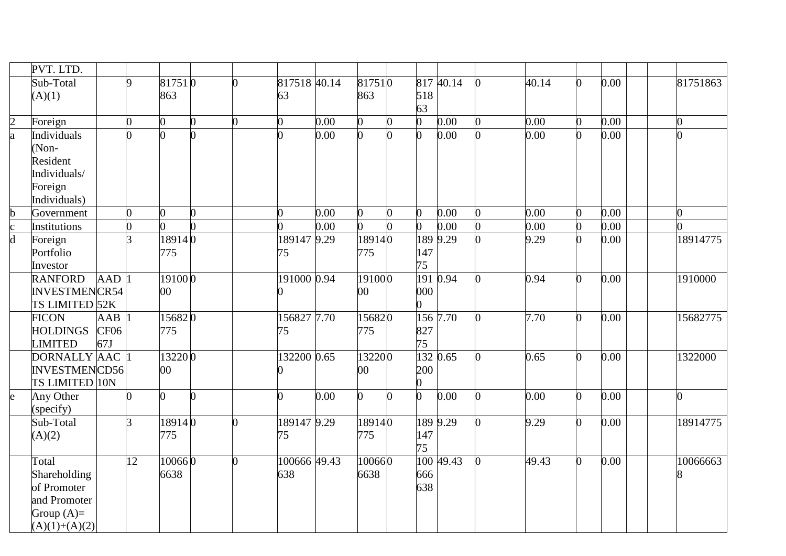|                         | PVT. LTD.            |                  |    |                 |   |          |              |                   |                |   |                |           |       |      |          |
|-------------------------|----------------------|------------------|----|-----------------|---|----------|--------------|-------------------|----------------|---|----------------|-----------|-------|------|----------|
|                         | Sub-Total            |                  | Q  | 817510          |   | 0        | 817518 40.14 |                   | 817510         |   |                | 817 40.14 | 40.14 | 0.00 | 81751863 |
|                         | (A)(1)               |                  |    | 863             |   |          | 63           |                   | 863            |   | 518            |           |       |      |          |
|                         |                      |                  |    |                 |   |          |              |                   |                |   | 63             |           |       |      |          |
| $\overline{c}$          | Foreign              |                  | 0  | 0               | n | 0        |              | 0.00              | 0              | 0 | $\overline{0}$ | 0.00      | 0.00  | 0.00 | O.       |
| $\overline{\mathbf{a}}$ | Individuals          |                  |    |                 |   |          |              | 0.00              | O              |   | $\overline{0}$ | 0.00      | 0.00  | 0.00 |          |
|                         | (Non-                |                  |    |                 |   |          |              |                   |                |   |                |           |       |      |          |
|                         | Resident             |                  |    |                 |   |          |              |                   |                |   |                |           |       |      |          |
|                         | Individuals/         |                  |    |                 |   |          |              |                   |                |   |                |           |       |      |          |
|                         | Foreign              |                  |    |                 |   |          |              |                   |                |   |                |           |       |      |          |
|                         | Individuals)         |                  |    |                 |   |          |              |                   |                |   |                |           |       |      |          |
| b                       | Government           |                  | 0  | 0               | 0 |          |              | 0.00              | $\overline{0}$ | 0 | $\overline{0}$ | 0.00      | 0.00  | 0.00 | 0        |
| $\mathbf c$             | Institutions         |                  |    |                 |   |          |              | 0.00              | $\overline{0}$ |   | 0              | 0.00      | 0.00  | 0.00 |          |
| $\overline{\mathsf{d}}$ | Foreign              |                  | 3  | 189140          |   |          | 189147 9.29  |                   | 189140         |   |                | 189 9.29  | 9.29  | 0.00 | 18914775 |
|                         | Portfolio            |                  |    | 775             |   |          | 75           |                   | 775            |   | 147            |           |       |      |          |
|                         | Investor             |                  |    |                 |   |          |              |                   |                |   | 75             |           |       |      |          |
|                         | <b>RANFORD</b>       | <b>AAD</b>       |    | 191000          |   |          | 191000 0.94  |                   | 191000         |   | 191 0.94       |           | 0.94  | 0.00 | 1910000  |
|                         | <b>INVESTMENCR54</b> |                  |    | $00\,$          |   |          |              |                   | 00             |   | 000            |           |       |      |          |
|                         | TS LIMITED 52K       |                  |    |                 |   |          |              |                   |                |   | 0              |           |       |      |          |
|                         | <b>FICON</b>         | $A\overline{AB}$ |    | 156820          |   |          | 156827 7.70  |                   | 156820         |   | 156 7.70       |           | 7.70  | 0.00 | 15682775 |
|                         | <b>HOLDINGS</b>      | CF <sub>06</sub> |    | 775             |   |          | 75           |                   | 775            |   | 827            |           |       |      |          |
|                         | <b>LIMITED</b>       | 67J              |    |                 |   |          |              |                   |                |   | 75             |           |       |      |          |
|                         | DORNALLY AAC         |                  |    | 132200          |   |          | 132200 0.65  |                   | 132200         |   | 132 0.65       |           | 0.65  | 0.00 | 1322000  |
|                         | <b>INVESTMENCD56</b> |                  |    | $\overline{00}$ |   |          |              |                   | $00\,$         |   | 200            |           |       |      |          |
|                         | TS LIMITED 10N       |                  |    |                 |   |          |              |                   |                |   | 0              |           |       |      |          |
| $\mathbf{e}$            | Any Other            |                  |    | O               |   |          |              | $\overline{0.00}$ | 0              | n | $\overline{0}$ | 0.00      | 0.00  | 0.00 | U        |
|                         | (specify)            |                  |    |                 |   |          |              |                   |                |   |                |           |       |      |          |
|                         | Sub-Total            |                  | 3  | 189140          |   | 0        | 189147 9.29  |                   | 189140         |   |                | 189 9.29  | 9.29  | 0.00 | 18914775 |
|                         | (A)(2)               |                  |    | 775             |   |          | 75           |                   | 775            |   | 147            |           |       |      |          |
|                         |                      |                  |    |                 |   |          |              |                   |                |   | 75             |           |       |      |          |
|                         | Total                |                  | 12 | 100660          |   | $\Omega$ | 100666 49.43 |                   | 100660         |   |                | 100 49.43 | 49.43 | 0.00 | 10066663 |
|                         | Shareholding         |                  |    | 6638            |   |          | 638          |                   | 6638           |   | 666            |           |       |      |          |
|                         | of Promoter          |                  |    |                 |   |          |              |                   |                |   | 638            |           |       |      |          |
|                         | and Promoter         |                  |    |                 |   |          |              |                   |                |   |                |           |       |      |          |
|                         | Group $(A)=$         |                  |    |                 |   |          |              |                   |                |   |                |           |       |      |          |
|                         | $(A)(1)+(A)(2)$      |                  |    |                 |   |          |              |                   |                |   |                |           |       |      |          |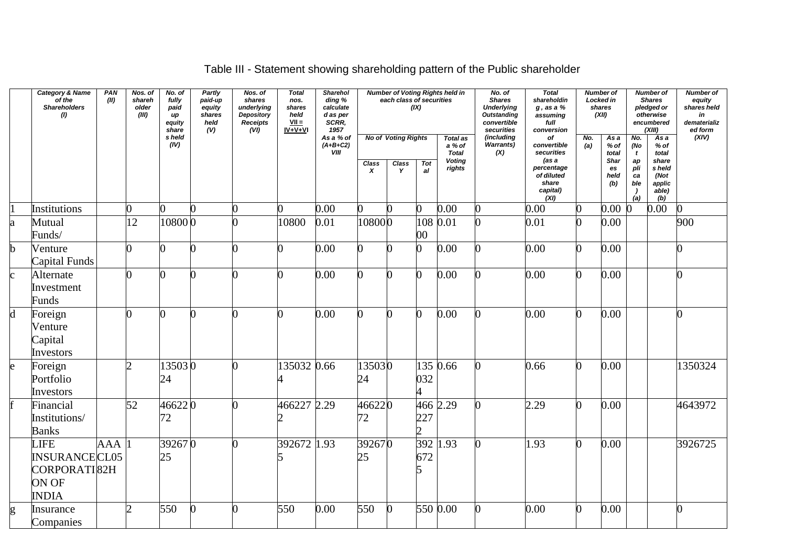|                         | <b>Category &amp; Name</b><br>of the<br><b>Shareholders</b><br>(1)           | PAN<br>(II) | Nos. of<br>shareh<br>older<br>(III) | No. of<br>fully<br>paid<br>иp<br>equity<br>share | <b>Partly</b><br>paid-up<br>equity<br>shares<br>held<br>(V) | Nos. of<br>shares<br>underlying<br><b>Depository</b><br>Receipts<br>(vij) | <b>Total</b><br>nos.<br>shares<br>held<br>$VII =$<br>$IV+V+VI$ | <b>Sharehol</b><br>ding %<br>calculate<br>d as per<br>SCRR,<br>1957 |                                  | each class of securities                        | (IX)                         | <b>Number of Voting Rights held in</b>                        | No. of<br><b>Shares</b><br><b>Underlying</b><br><b>Outstanding</b><br>convertible<br>securities | <b>Total</b><br>shareholdin<br>$g$ , as a $%$<br>assuming<br>full<br>conversion                   | (XII)      | <b>Number of</b><br>Locked in<br>shares            |                                                             | <b>Number of</b><br><b>Shares</b><br>pledged or<br>otherwise<br>encumbered<br>(XIII) | <b>Number of</b><br>equity<br>shares held<br>in<br>dematerializ<br>ed form |
|-------------------------|------------------------------------------------------------------------------|-------------|-------------------------------------|--------------------------------------------------|-------------------------------------------------------------|---------------------------------------------------------------------------|----------------------------------------------------------------|---------------------------------------------------------------------|----------------------------------|-------------------------------------------------|------------------------------|---------------------------------------------------------------|-------------------------------------------------------------------------------------------------|---------------------------------------------------------------------------------------------------|------------|----------------------------------------------------|-------------------------------------------------------------|--------------------------------------------------------------------------------------|----------------------------------------------------------------------------|
|                         |                                                                              |             |                                     | s held<br>(IV)                                   |                                                             |                                                                           |                                                                | As a % of<br>$(A+B+C2)$<br><b>VIII</b>                              | <b>Class</b><br>$\boldsymbol{x}$ | <b>No of Voting Rights</b><br><b>Class</b><br>Y | Tot<br>al                    | Total as<br>a % of<br><b>Total</b><br><b>Voting</b><br>rights | (including<br>Warrants)<br>(X)                                                                  | of<br>convertible<br>securities<br>(as a<br>percentage<br>of diluted<br>share<br>capital)<br>(XI) | No.<br>(a) | As a<br>% of<br>total<br>Shar<br>es<br>held<br>(b) | No.<br>(No<br>$\mathbf{t}$<br>ap<br>pli<br>ca<br>ble<br>(a) | Asa<br>$%$ of<br>total<br>share<br>s held<br>(Not<br>applic<br>able)<br>(b)          | (XIV)                                                                      |
|                         | Institutions                                                                 |             | 0                                   | 0                                                |                                                             |                                                                           | 0                                                              | 0.00                                                                | 0                                | 0                                               |                              | 0.00                                                          |                                                                                                 | 0.00                                                                                              |            | 0.00                                               |                                                             | 0.00                                                                                 | ∩                                                                          |
| a                       | Mutual<br>Funds/                                                             |             | 12                                  | 108000                                           |                                                             |                                                                           | 10800                                                          | 0.01                                                                | 108000                           |                                                 | $00\,$                       | 108 0.01                                                      |                                                                                                 | 0.01                                                                                              |            | 0.00                                               |                                                             |                                                                                      | 900                                                                        |
| b                       | Venture<br>Capital Funds                                                     |             | ∩                                   |                                                  |                                                             |                                                                           | 0                                                              | 0.00                                                                | 0                                |                                                 |                              | 0.00                                                          |                                                                                                 | 0.00                                                                                              | 0          | 0.00                                               |                                                             |                                                                                      |                                                                            |
| $\mathbf{c}$            | Alternate<br>Investment<br>Funds                                             |             | ∩                                   | ∩                                                |                                                             |                                                                           | 0                                                              | 0.00                                                                | O.                               |                                                 |                              | 0.00                                                          |                                                                                                 | 0.00                                                                                              | 0          | 0.00                                               |                                                             |                                                                                      |                                                                            |
| $\overline{\mathsf{d}}$ | Foreign<br>Venture<br>Capital<br>Investors                                   |             | 0                                   | ∩                                                |                                                             | ∩                                                                         | 0                                                              | 0.00                                                                | n                                | n                                               |                              | 0.00                                                          |                                                                                                 | 0.00                                                                                              | 0          | 0.00                                               |                                                             |                                                                                      | n                                                                          |
| $\mathbf{e}$            | Foreign<br>Portfolio<br>Investors                                            |             | h                                   | 135030<br>24                                     |                                                             |                                                                           | 135032 0.66                                                    |                                                                     | 135030<br>24                     |                                                 | 032                          | 135 0.66                                                      |                                                                                                 | 0.66                                                                                              | O.         | 0.00                                               |                                                             |                                                                                      | 1350324                                                                    |
|                         | Financial<br>Institutions/<br><b>Banks</b>                                   |             | 52                                  | 46622 0<br>72                                    |                                                             |                                                                           | 466227 2.29                                                    |                                                                     | 466220<br>72                     |                                                 | 227<br>$\mathcal{D}_{\cdot}$ | 466 2.29                                                      |                                                                                                 | 2.29                                                                                              | 0          | 0.00                                               |                                                             |                                                                                      | 4643972                                                                    |
|                         | <b>LIFE</b><br><b>INSURANCECL05</b><br>CORPORATI82H<br>ON OF<br><b>INDIA</b> | AAA         |                                     | 392670<br>25                                     |                                                             |                                                                           | 392672 1.93<br>5                                               |                                                                     | 392670<br>25                     |                                                 | 672<br>15                    | 392 1.93                                                      |                                                                                                 | 1.93                                                                                              | 0          | 0.00                                               |                                                             |                                                                                      | 3926725                                                                    |
| g                       | Insurance<br>Companies                                                       |             | $\mathcal{D}_{\cdot}$               | 550                                              |                                                             |                                                                           | 550                                                            | 0.00                                                                | 550                              | $\Omega$                                        |                              | 550 0.00                                                      |                                                                                                 | 0.00                                                                                              | 0          | 0.00                                               |                                                             |                                                                                      | 0                                                                          |

# Table III - Statement showing shareholding pattern of the Public shareholder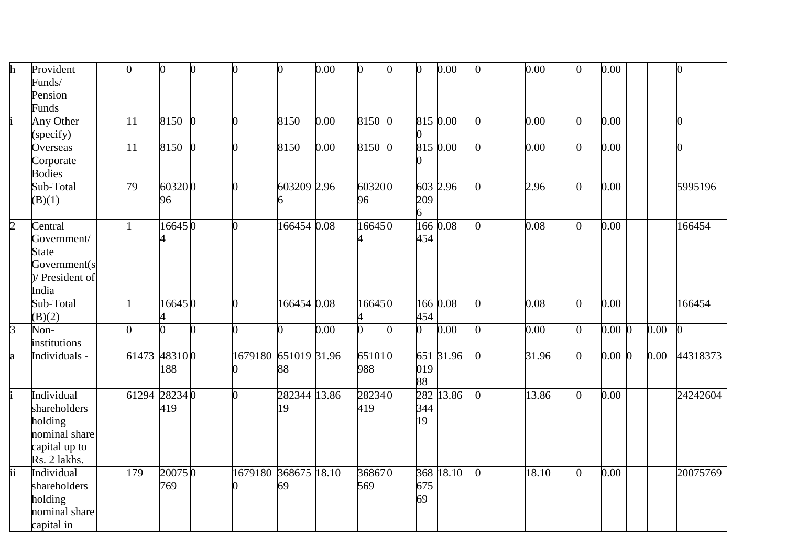| h                      | Provident       | 0             | 0      |                | 0       |              | 0.00 | 0              | $\bf{0}$ | $\overline{0}$ | 0.00      |    | 0.00  | U            | 0.00      |      |          |
|------------------------|-----------------|---------------|--------|----------------|---------|--------------|------|----------------|----------|----------------|-----------|----|-------|--------------|-----------|------|----------|
|                        | Funds/          |               |        |                |         |              |      |                |          |                |           |    |       |              |           |      |          |
|                        | Pension         |               |        |                |         |              |      |                |          |                |           |    |       |              |           |      |          |
|                        | <b>Funds</b>    |               |        |                |         |              |      |                |          |                |           |    |       |              |           |      |          |
|                        | Any Other       | 11            | 8150   | $\overline{0}$ | O       | 8150         | 0.00 | 8150 0         |          |                | 815 0.00  |    | 0.00  | 0            | 0.00      |      |          |
|                        | (specify)       |               |        |                |         |              |      |                |          |                |           |    |       |              |           |      |          |
|                        | Overseas        | 11            | 8150   | $\Omega$       | U       | 8150         | 0.00 | 8150 0         |          |                | 815 0.00  |    | 0.00  | <sup>0</sup> | 0.00      |      |          |
|                        | Corporate       |               |        |                |         |              |      |                |          |                |           |    |       |              |           |      |          |
|                        | <b>Bodies</b>   |               |        |                |         |              |      |                |          |                |           |    |       |              |           |      |          |
|                        | Sub-Total       | 79            | 603200 |                | ∩       | 603209 2.96  |      | 603200         |          |                | 603 2.96  |    | 2.96  | n            | 0.00      |      | 5995196  |
|                        | (B)(1)          |               | 96     |                |         | 6            |      | 96             |          | 209            |           |    |       |              |           |      |          |
|                        |                 |               |        |                |         |              |      |                |          | 6              |           |    |       |              |           |      |          |
| $\overline{2}$         | Central         |               | 166450 |                | 0       | 166454 0.08  |      | 166450         |          |                | 166 0.08  |    | 0.08  |              | 0.00      |      | 166454   |
|                        | Government/     |               |        |                |         |              |      |                |          | 454            |           |    |       |              |           |      |          |
|                        | <b>State</b>    |               |        |                |         |              |      |                |          |                |           |    |       |              |           |      |          |
|                        | Government(s    |               |        |                |         |              |      |                |          |                |           |    |       |              |           |      |          |
|                        | )/ President of |               |        |                |         |              |      |                |          |                |           |    |       |              |           |      |          |
|                        | India           |               |        |                |         |              |      |                |          |                |           |    |       |              |           |      |          |
|                        | Sub-Total       |               | 166450 |                | U       | 166454 0.08  |      | 166450         |          |                | 166 0.08  | n  | 0.08  | $\Omega$     | 0.00      |      | 166454   |
|                        | (B)(2)          |               |        |                |         |              |      |                |          | 454            |           |    |       |              |           |      |          |
| $\overline{3}$         | Non-            | ∩             |        |                | n       | 0            | 0.00 | $\overline{0}$ | O        | $\overline{0}$ | 0.00      | O. | 0.00  | 0            | $0.00\,0$ | 0.00 |          |
|                        | institutions    |               |        |                |         |              |      |                |          |                |           |    |       |              |           |      |          |
| a                      | Individuals -   | 61473         | 483100 |                | 1679180 | 651019 31.96 |      | 651010         |          |                | 651 31.96 |    | 31.96 |              | $0.00\,0$ | 0.00 | 44318373 |
|                        |                 |               | 188    |                |         | 88           |      | 988            |          | 019            |           |    |       |              |           |      |          |
|                        |                 |               |        |                |         |              |      |                |          | 88             |           |    |       |              |           |      |          |
|                        | Individual      | 61294 28234 0 |        |                | ∩       | 282344 13.86 |      | 282340         |          | 282            | 13.86     |    | 13.86 |              | 0.00      |      | 24242604 |
|                        | shareholders    |               | 419    |                |         | $ 19\rangle$ |      | 419            |          | 344            |           |    |       |              |           |      |          |
|                        | holding         |               |        |                |         |              |      |                |          | 19             |           |    |       |              |           |      |          |
|                        | nominal share   |               |        |                |         |              |      |                |          |                |           |    |       |              |           |      |          |
|                        | capital up to   |               |        |                |         |              |      |                |          |                |           |    |       |              |           |      |          |
|                        | Rs. 2 lakhs.    |               |        |                |         |              |      |                |          |                |           |    |       |              |           |      |          |
| $\overline{\text{ii}}$ | Individual      | 179           | 200750 |                | 1679180 | 368675 18.10 |      | 368670         |          |                | 368 18.10 | O. | 18.10 | 0            | 0.00      |      | 20075769 |
|                        | shareholders    |               | 769    |                |         | 69           |      | 569            |          | 675            |           |    |       |              |           |      |          |
|                        | holding         |               |        |                |         |              |      |                |          | 69             |           |    |       |              |           |      |          |
|                        | nominal share   |               |        |                |         |              |      |                |          |                |           |    |       |              |           |      |          |
|                        | capital in      |               |        |                |         |              |      |                |          |                |           |    |       |              |           |      |          |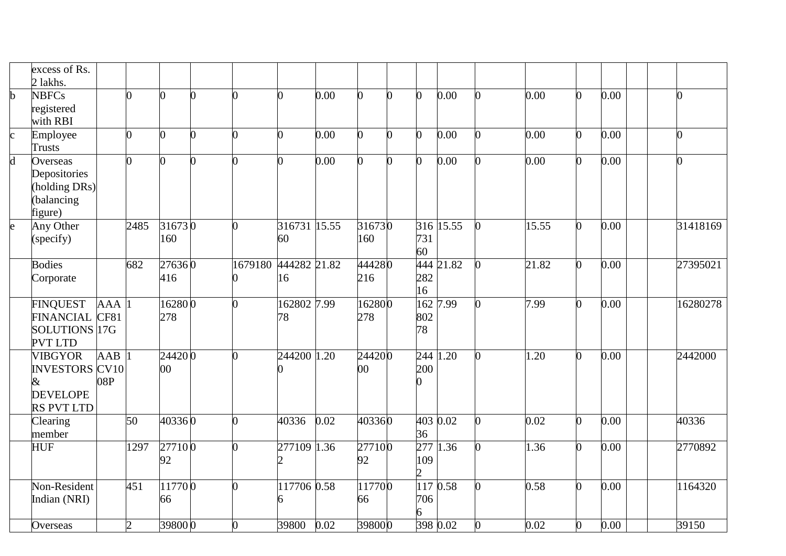|                         | excess of Rs.<br>2 lakhs.                                                               |                         |                |                   |         |                    |      |               |                |                                           |            |    |       |                |      |                |
|-------------------------|-----------------------------------------------------------------------------------------|-------------------------|----------------|-------------------|---------|--------------------|------|---------------|----------------|-------------------------------------------|------------|----|-------|----------------|------|----------------|
| $\mathbf b$             | <b>NBFCs</b><br>registered<br>with RBI                                                  |                         | 0              | 0                 | 0       | 0                  | 0.00 | 0             | $\overline{0}$ | $\overline{0}$                            | 0.00       | n. | 0.00  | $\overline{0}$ | 0.00 | $\overline{0}$ |
| $\mathbf{c}$            | Employee<br>Trusts                                                                      |                         | 0              | 0                 | O       | 0                  | 0.00 | 0             | 0              | 0                                         | 0.00       |    | 0.00  | $\overline{0}$ | 0.00 | $\overline{0}$ |
| $\overline{\mathsf{d}}$ | Overseas<br>Depositories<br>(holding DRs)<br>(balancing<br>figure)                      |                         | ∩              | 0                 |         | ∩                  | 0.00 | $\Omega$      | 0              | 0                                         | 0.00       |    | 0.00  | 0              | 0.00 | $\overline{0}$ |
| $\mathbf{e}$            | Any Other<br>(specify)                                                                  |                         | 2485           | 316730<br>160     | 0       | 316731 15.55<br>60 |      | 316730<br>160 |                | 731<br>60                                 | 316 15.55  |    | 15.55 | 0              | 0.00 | 31418169       |
|                         | <b>Bodies</b><br>Corporate                                                              |                         | 682            | 276360<br>416     | 1679180 | 444282 21.82<br>16 |      | 444280<br>216 |                | 282<br>16                                 | 444 21.82  |    | 21.82 | 0              | 0.00 | 27395021       |
|                         | <b>FINQUEST</b><br><b>FINANCIAL</b><br>SOLUTIONS 17G<br><b>PVT LTD</b>                  | <b>AAA</b><br>CF81      |                | 162800<br>278     | 0       | 162802 7.99<br>78  |      | 162800<br>278 |                | 802<br>78                                 | 162 7.99   | O  | 7.99  | $\overline{0}$ | 0.00 | 16280278       |
|                         | <b>VIBGYOR</b><br><b>INVESTORS CV10</b><br>$\&$<br><b>DEVELOPE</b><br><b>RS PVT LTD</b> | $\overline{AAB}$<br>08P |                | 244200<br>$00 \,$ | ∩       | 244200 1.20        |      | 244200<br>00  |                | 200                                       | $244$ 1.20 |    | 1.20  | 0              | 0.00 | 2442000        |
|                         | Clearing<br>member                                                                      |                         | 50             | 403360            | O       | 40336              | 0.02 | 403360        |                | 4030.02<br>36                             |            |    | 0.02  | $\overline{0}$ | 0.00 | 40336          |
|                         | <b>HUF</b>                                                                              |                         | 1297           | 277100<br>92      | ∩       | 277109 1.36        |      | 277100<br>92  |                | 277<br>109<br>$\mathcal{D}_{\mathcal{L}}$ | 1.36       |    | 1.36  | 0              | 0.00 | 2770892        |
|                         | Non-Resident<br>Indian (NRI)                                                            |                         | 451            | 117700<br>66      | 0       | 117706 0.58        |      | 117700<br>66  |                | 706<br>6                                  | 117 0.58   |    | 0.58  | $\overline{0}$ | 0.00 | 1164320        |
|                         | Overseas                                                                                |                         | $\overline{2}$ | 398000            | 0       | 39800              | 0.02 | 398000        |                |                                           | 398 0.02   |    | 0.02  | $\overline{0}$ | 0.00 | 39150          |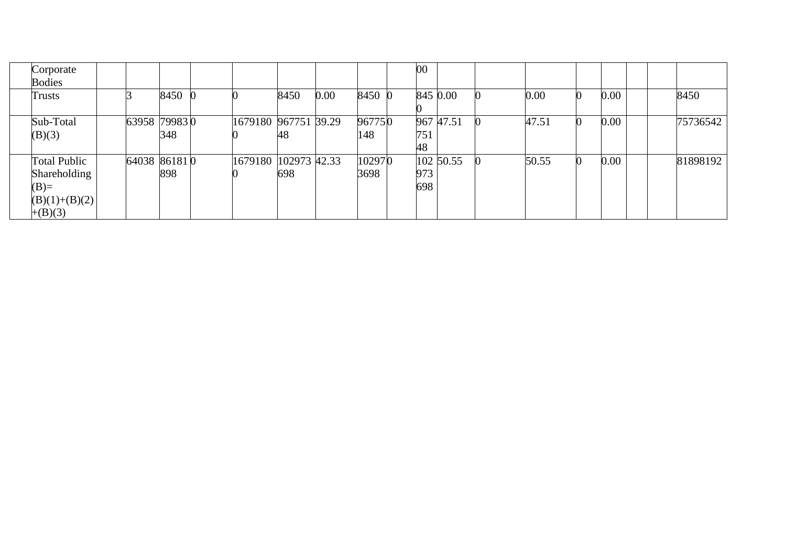| Corporate<br><b>Bodies</b>                                                    |              |      |                      |      |          |                | 00         |           |       |      |  |          |
|-------------------------------------------------------------------------------|--------------|------|----------------------|------|----------|----------------|------------|-----------|-------|------|--|----------|
| <b>Trusts</b>                                                                 |              | 8450 |                      | 8450 | $0.00\,$ | 8450 0         |            | 845 0.00  | 0.00  | 0.00 |  | 8450     |
| Sub-Total<br>(B)(3)                                                           | 63958 799830 | 348  | 1679180 967751 39.29 | 48   |          | 967750<br>148  | 751        | 967 47.51 | 47.51 | 0.00 |  | 75736542 |
|                                                                               |              |      |                      |      |          |                | 48         |           |       |      |  |          |
| <b>Total Public</b><br>Shareholding<br>$(B)=$<br>$(B)(1)+(B)(2)$<br>$+(B)(3)$ | 64038 861810 | 898  | 1679180 102973 42.33 | 698  |          | 102970<br>3698 | 973<br>698 | 102 50.55 | 50.55 | 0.00 |  | 81898192 |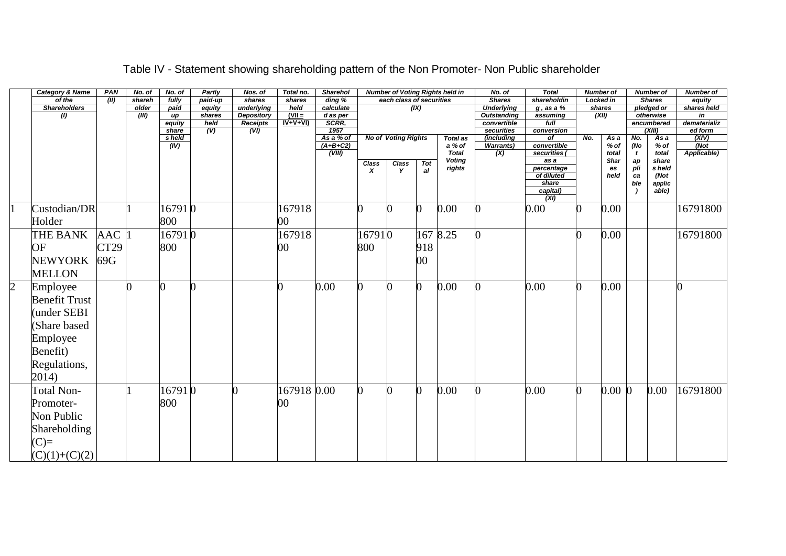|                | <b>Category &amp; Name</b> | PAN              | No. of | No. of          | Partly                            | Nos. of                      | Total no.             | <b>Sharehol</b>        |                           |                            |                | <b>Number of Voting Rights held in</b> | No. of                            | <b>Total</b>                      | <b>Number of</b> |               |           | <b>Number of</b>        | <b>Number of</b>   |
|----------------|----------------------------|------------------|--------|-----------------|-----------------------------------|------------------------------|-----------------------|------------------------|---------------------------|----------------------------|----------------|----------------------------------------|-----------------------------------|-----------------------------------|------------------|---------------|-----------|-------------------------|--------------------|
|                | of the                     | (II)             | shareh | fully           | paid-up                           | shares                       | shares                | $\overline{ding} \ \%$ |                           | each class of securities   |                |                                        | <b>Shares</b>                     | shareholdin                       | Locked in        |               |           | <b>Shares</b>           | equity             |
|                | <b>Shareholders</b>        |                  | older  | paid            | equity                            | underlying                   | held                  | calculate              |                           |                            | (X)            |                                        | <b>Underlying</b>                 | $g$ , as a %                      | shares           |               |           | pledged or              | shares held        |
|                | (1)                        |                  | (III)  | up              | shares                            | <b>Depository</b>            | $(VII =$<br>$IV+V+VI$ | d as per<br>SCRR,      |                           |                            |                |                                        | <b>Outstanding</b><br>convertible | assuming<br>full                  |                  | (XII)         |           | otherwise<br>encumbered | in<br>dematerializ |
|                |                            |                  |        | equity<br>share | held<br>$\overline{(\mathsf{V})}$ | Receipts<br>$\overline{(V)}$ |                       | 1957                   |                           |                            |                |                                        | securities                        | conversion                        |                  |               |           | (XIII)                  | ed form            |
|                |                            |                  |        | s held          |                                   |                              |                       | As a % of              |                           | <b>No of Voting Rights</b> |                | <b>Total as</b>                        | (including                        | $\overline{of}$                   | No.              | Asa           | No.       | Asa                     | (XIV)              |
|                |                            |                  |        | (IV)            |                                   |                              |                       | $(A+B+C2)$             |                           |                            |                | a % of                                 | <b>Warrants)</b>                  | convertible                       |                  | $%$ of        | (No       | $%$ of                  | $\overline{Not}$   |
|                |                            |                  |        |                 |                                   |                              |                       | (VIII)                 |                           |                            |                | <b>Total</b><br><b>Voting</b>          | (X)                               | securities (<br>$\overline{as} a$ |                  | total<br>Shar |           | total<br>share          | Applicable)        |
|                |                            |                  |        |                 |                                   |                              |                       |                        | Class<br>$\boldsymbol{x}$ | Class<br>Y                 | Tot<br>al      | rights                                 |                                   | percentage                        |                  | es            | ap<br>pli | s held                  |                    |
|                |                            |                  |        |                 |                                   |                              |                       |                        |                           |                            |                |                                        |                                   | of diluted                        |                  | held          | ca        | (Not                    |                    |
|                |                            |                  |        |                 |                                   |                              |                       |                        |                           |                            |                |                                        |                                   | share                             |                  |               | ble       | applic                  |                    |
|                |                            |                  |        |                 |                                   |                              |                       |                        |                           |                            |                |                                        |                                   | capital)<br>$\overline{(XI)}$     |                  |               |           | $a$ <sub>b</sub> $e$    |                    |
| 1              | Custodian/DR               |                  |        | 167910          |                                   |                              | 167918                |                        | ∩                         | n                          | $\overline{0}$ | 0.00                                   |                                   | 0.00                              | ∩                | 0.00          |           |                         | 16791800           |
|                | Holder                     |                  |        | 800             |                                   |                              | $00\,$                |                        |                           |                            |                |                                        |                                   |                                   |                  |               |           |                         |                    |
|                | THE BANK                   | <b>AAC</b>       |        | 167910          |                                   |                              | 167918                |                        | 167910                    |                            |                | 167 8.25                               |                                   |                                   |                  | 0.00          |           |                         | 16791800           |
|                | OF                         | CT <sub>29</sub> |        | 800             |                                   |                              | 00                    |                        | 800                       |                            | 918            |                                        |                                   |                                   |                  |               |           |                         |                    |
|                | <b>NEWYORK</b>             | 69G              |        |                 |                                   |                              |                       |                        |                           |                            | 00             |                                        |                                   |                                   |                  |               |           |                         |                    |
|                | MELLON                     |                  |        |                 |                                   |                              |                       |                        |                           |                            |                |                                        |                                   |                                   |                  |               |           |                         |                    |
| $\overline{2}$ | Employee                   |                  |        |                 |                                   |                              | 0                     | 0.00                   | ∩                         |                            | $\overline{0}$ | 0.00                                   |                                   | 0.00                              | O                | 0.00          |           |                         |                    |
|                | <b>Benefit Trust</b>       |                  |        |                 |                                   |                              |                       |                        |                           |                            |                |                                        |                                   |                                   |                  |               |           |                         |                    |
|                | (under SEBI                |                  |        |                 |                                   |                              |                       |                        |                           |                            |                |                                        |                                   |                                   |                  |               |           |                         |                    |
|                | (Share based               |                  |        |                 |                                   |                              |                       |                        |                           |                            |                |                                        |                                   |                                   |                  |               |           |                         |                    |
|                | Employee                   |                  |        |                 |                                   |                              |                       |                        |                           |                            |                |                                        |                                   |                                   |                  |               |           |                         |                    |
|                | Benefit)                   |                  |        |                 |                                   |                              |                       |                        |                           |                            |                |                                        |                                   |                                   |                  |               |           |                         |                    |
|                | Regulations,               |                  |        |                 |                                   |                              |                       |                        |                           |                            |                |                                        |                                   |                                   |                  |               |           |                         |                    |
|                | 2014)                      |                  |        |                 |                                   |                              |                       |                        |                           |                            |                |                                        |                                   |                                   |                  |               |           |                         |                    |
|                | Total Non-                 |                  |        | 167910          |                                   | O                            | 167918 0.00           |                        | ∩                         | n                          | 0              | 0.00                                   |                                   | 0.00                              | U                | $0.00\,0$     |           | 0.00                    | 16791800           |
|                | Promoter-                  |                  |        | 800             |                                   |                              | 00                    |                        |                           |                            |                |                                        |                                   |                                   |                  |               |           |                         |                    |
|                | Non Public                 |                  |        |                 |                                   |                              |                       |                        |                           |                            |                |                                        |                                   |                                   |                  |               |           |                         |                    |
|                | Shareholding               |                  |        |                 |                                   |                              |                       |                        |                           |                            |                |                                        |                                   |                                   |                  |               |           |                         |                    |
|                | $(C)=$                     |                  |        |                 |                                   |                              |                       |                        |                           |                            |                |                                        |                                   |                                   |                  |               |           |                         |                    |
|                | $(C)(1)+(C)(2)$            |                  |        |                 |                                   |                              |                       |                        |                           |                            |                |                                        |                                   |                                   |                  |               |           |                         |                    |

### Table IV - Statement showing shareholding pattern of the Non Promoter- Non Public shareholder